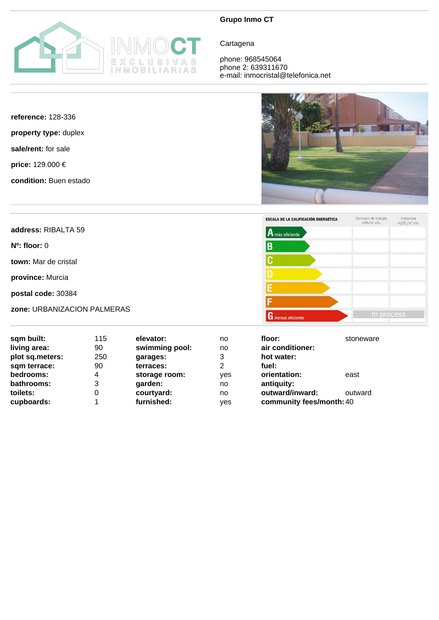

## **Grupo Inmo CT**

**Cartagena** 

phone: 968545064 phone 2: 639311670 e-mail: inmocristal@telefonica.net

## **reference:** 128-336

**property type:** duplex

**sale/rent:** for sale

**price:** 129.000 €

**condition:** Buen estado





| sqm built:      | 115 | elevator:      | no  | floor:                   | stoneware |
|-----------------|-----|----------------|-----|--------------------------|-----------|
| living area:    | 90  | swimming pool: | no  | air conditioner:         |           |
| plot sq.meters: | 250 | garages:       | 3   | hot water:               |           |
| sqm terrace:    | 90  | terraces:      | 2   | fuel:                    |           |
| bedrooms:       | 4   | storage room:  | ves | orientation:             | east      |
| bathrooms:      | 3   | garden:        | no  | antiquity:               |           |
| toilets:        | 0   | courtyard:     | no  | outward/inward:          | outward   |
| cupboards:      |     | furnished:     | yes | community fees/month: 40 |           |